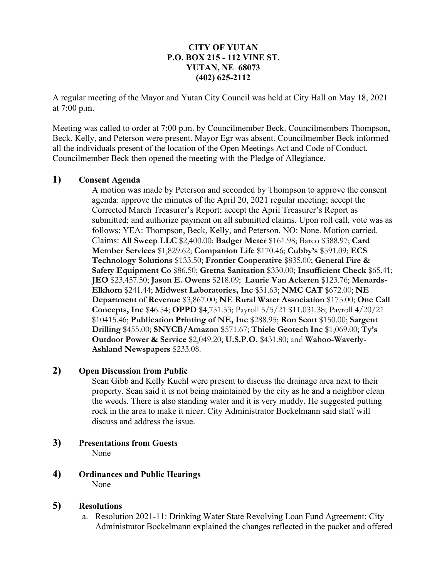### **CITY OF YUTAN P.O. BOX 215 - 112 VINE ST. YUTAN, NE 68073 (402) 625-2112**

A regular meeting of the Mayor and Yutan City Council was held at City Hall on May 18, 2021 at 7:00 p.m.

Meeting was called to order at 7:00 p.m. by Councilmember Beck. Councilmembers Thompson, Beck, Kelly, and Peterson were present. Mayor Egr was absent. Councilmember Beck informed all the individuals present of the location of the Open Meetings Act and Code of Conduct. Councilmember Beck then opened the meeting with the Pledge of Allegiance.

#### **1) Consent Agenda**

A motion was made by Peterson and seconded by Thompson to approve the consent agenda: approve the minutes of the April 20, 2021 regular meeting; accept the Corrected March Treasurer's Report; accept the April Treasurer's Report as submitted; and authorize payment on all submitted claims. Upon roll call, vote was as follows: YEA: Thompson, Beck, Kelly, and Peterson. NO: None. Motion carried. Claims: **All Sweep LLC** \$2,400.00; **Badger Meter** \$161.98; Barco \$388.97; **Card Member Services** \$1,829.62; **Companion Life** \$170.46; **Cubby's** \$591.09; **ECS Technology Solutions** \$133.50; **Frontier Cooperative** \$835.00; **General Fire & Safety Equipment Co** \$86.50; **Gretna Sanitation** \$330.00; **Insufficient Check** \$65.41; **JEO** \$23,457.50; **Jason E. Owens** \$218.09; **Laurie Van Ackeren** \$123.76; **Menards-Elkhorn** \$241.44; **Midwest Laboratories, Inc** \$31.63; **NMC CAT** \$672.00; **NE Department of Revenue** \$3,867.00; **NE Rural Water Association** \$175.00; **One Call Concepts, Inc** \$46.54; **OPPD** \$4,751.53; Payroll 5/5/21 \$11.031.38; Payroll 4/20/21 \$10415.46; **Publication Printing of NE, Inc** \$288.95; **Ron Scott** \$150.00; **Sargent Drilling** \$455.00; **SNYCB/Amazon** \$571.67; **Thiele Geotech Inc** \$1,069.00; **Ty's Outdoor Power & Service** \$2,049.20; **U.S.P.O.** \$431.80; and **Wahoo-Waverly-Ashland Newspapers** \$233.08.

### **2) Open Discussion from Public**

Sean Gibb and Kelly Kuehl were present to discuss the drainage area next to their property. Sean said it is not being maintained by the city as he and a neighbor clean the weeds. There is also standing water and it is very muddy. He suggested putting rock in the area to make it nicer. City Administrator Bockelmann said staff will discuss and address the issue.

- **3) Presentations from Guests** None
- **4) Ordinances and Public Hearings** None

#### **5) Resolutions**

a. Resolution 2021-11: Drinking Water State Revolving Loan Fund Agreement: City Administrator Bockelmann explained the changes reflected in the packet and offered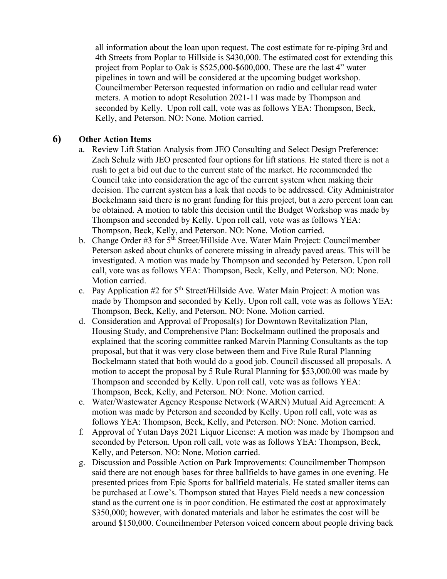all information about the loan upon request. The cost estimate for re-piping 3rd and 4th Streets from Poplar to Hillside is \$430,000. The estimated cost for extending this project from Poplar to Oak is \$525,000-\$600,000. These are the last 4" water pipelines in town and will be considered at the upcoming budget workshop. Councilmember Peterson requested information on radio and cellular read water meters. A motion to adopt Resolution 2021-11 was made by Thompson and seconded by Kelly. Upon roll call, vote was as follows YEA: Thompson, Beck, Kelly, and Peterson. NO: None. Motion carried.

### **6) Other Action Items**

- a. Review Lift Station Analysis from JEO Consulting and Select Design Preference: Zach Schulz with JEO presented four options for lift stations. He stated there is not a rush to get a bid out due to the current state of the market. He recommended the Council take into consideration the age of the current system when making their decision. The current system has a leak that needs to be addressed. City Administrator Bockelmann said there is no grant funding for this project, but a zero percent loan can be obtained. A motion to table this decision until the Budget Workshop was made by Thompson and seconded by Kelly. Upon roll call, vote was as follows YEA: Thompson, Beck, Kelly, and Peterson. NO: None. Motion carried.
- b. Change Order #3 for  $5<sup>th</sup> Street/Hillside$  Ave. Water Main Project: Councilmember Peterson asked about chunks of concrete missing in already paved areas. This will be investigated. A motion was made by Thompson and seconded by Peterson. Upon roll call, vote was as follows YEA: Thompson, Beck, Kelly, and Peterson. NO: None. Motion carried.
- c. Pay Application #2 for  $5<sup>th</sup> Street/Hillside$  Ave. Water Main Project: A motion was made by Thompson and seconded by Kelly. Upon roll call, vote was as follows YEA: Thompson, Beck, Kelly, and Peterson. NO: None. Motion carried.
- d. Consideration and Approval of Proposal(s) for Downtown Revitalization Plan, Housing Study, and Comprehensive Plan: Bockelmann outlined the proposals and explained that the scoring committee ranked Marvin Planning Consultants as the top proposal, but that it was very close between them and Five Rule Rural Planning Bockelmann stated that both would do a good job. Council discussed all proposals. A motion to accept the proposal by 5 Rule Rural Planning for \$53,000.00 was made by Thompson and seconded by Kelly. Upon roll call, vote was as follows YEA: Thompson, Beck, Kelly, and Peterson. NO: None. Motion carried.
- e. Water/Wastewater Agency Response Network (WARN) Mutual Aid Agreement: A motion was made by Peterson and seconded by Kelly. Upon roll call, vote was as follows YEA: Thompson, Beck, Kelly, and Peterson. NO: None. Motion carried.
- f. Approval of Yutan Days 2021 Liquor License: A motion was made by Thompson and seconded by Peterson. Upon roll call, vote was as follows YEA: Thompson, Beck, Kelly, and Peterson. NO: None. Motion carried.
- g. Discussion and Possible Action on Park Improvements: Councilmember Thompson said there are not enough bases for three ballfields to have games in one evening. He presented prices from Epic Sports for ballfield materials. He stated smaller items can be purchased at Lowe's. Thompson stated that Hayes Field needs a new concession stand as the current one is in poor condition. He estimated the cost at approximately \$350,000; however, with donated materials and labor he estimates the cost will be around \$150,000. Councilmember Peterson voiced concern about people driving back